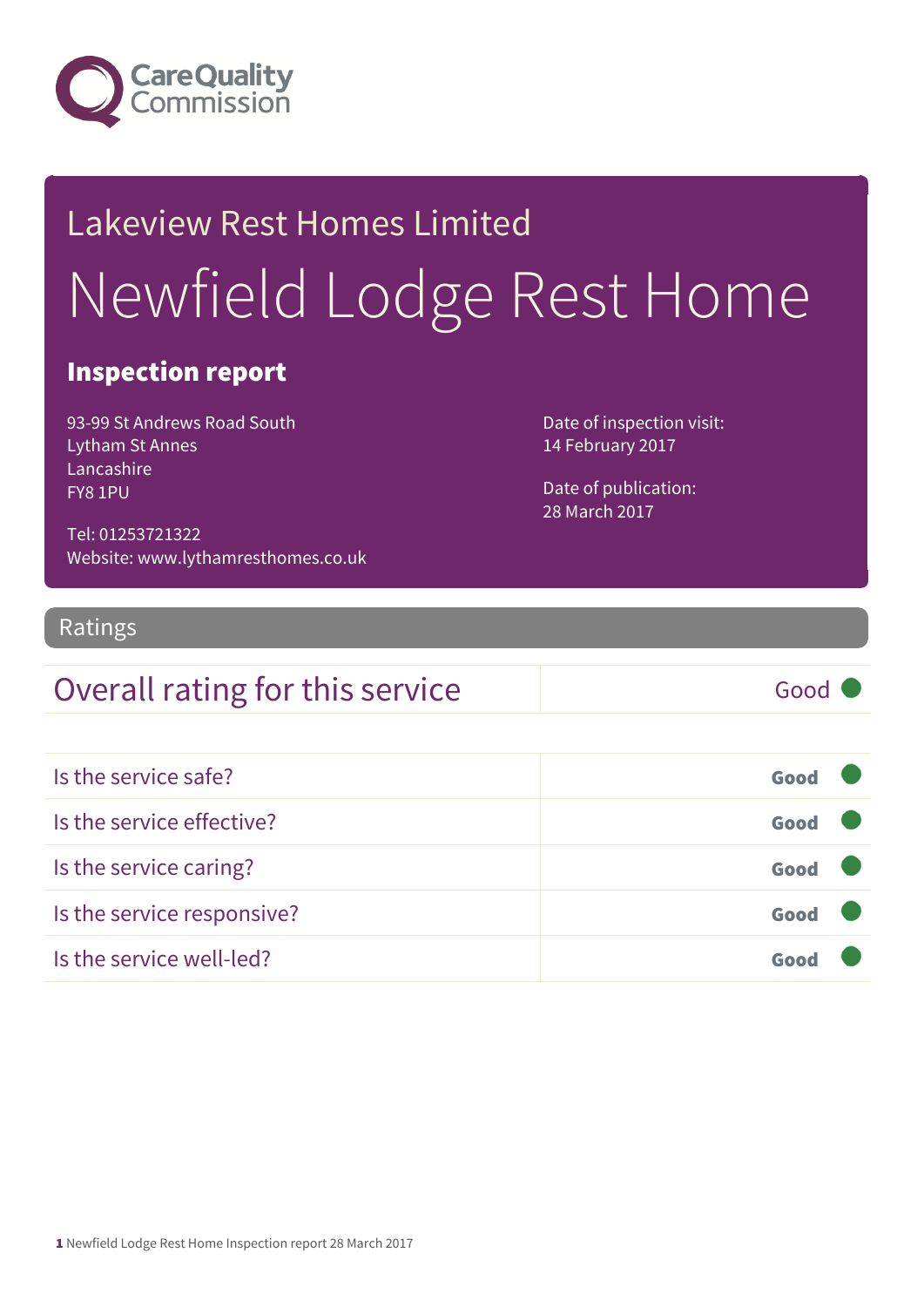

# Lakeview Rest Homes Limited Newfield Lodge Rest Home

#### Inspection report

93-99 St Andrews Road South Lytham St Annes Lancashire FY8 1PU

Date of inspection visit: 14 February 2017

Date of publication: 28 March 2017

Tel: 01253721322 Website: www.lythamresthomes.co.uk

#### Ratings

#### Overall rating for this service Good

| Is the service safe?       | Good |  |
|----------------------------|------|--|
| Is the service effective?  | Good |  |
| Is the service caring?     | Good |  |
| Is the service responsive? | Good |  |
| Is the service well-led?   | Goo  |  |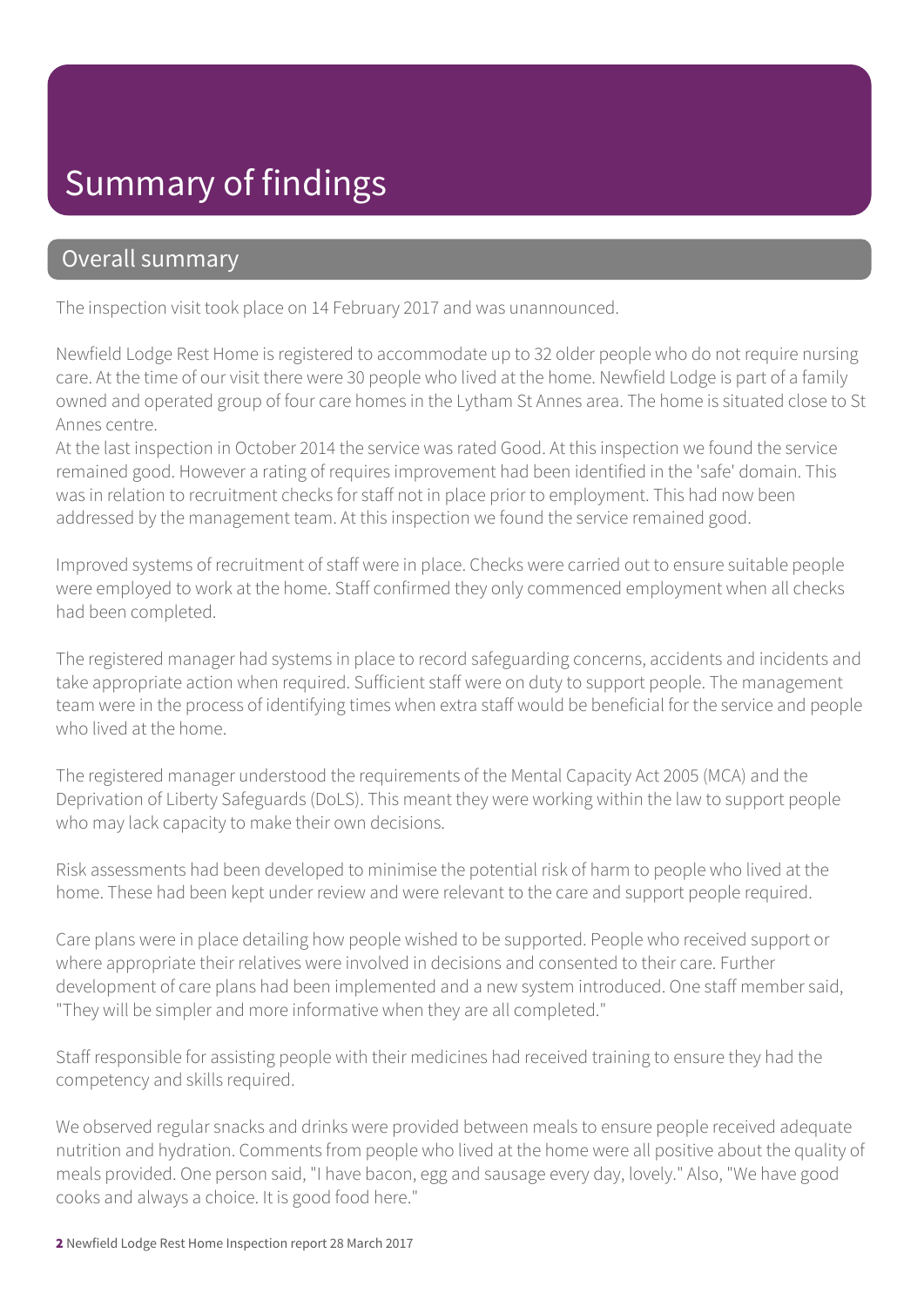#### Summary of findings

#### Overall summary

The inspection visit took place on 14 February 2017 and was unannounced.

Newfield Lodge Rest Home is registered to accommodate up to 32 older people who do not require nursing care. At the time of our visit there were 30 people who lived at the home. Newfield Lodge is part of a family owned and operated group of four care homes in the Lytham St Annes area. The home is situated close to St Annes centre.

At the last inspection in October 2014 the service was rated Good. At this inspection we found the service remained good. However a rating of requires improvement had been identified in the 'safe' domain. This was in relation to recruitment checks for staff not in place prior to employment. This had now been addressed by the management team. At this inspection we found the service remained good.

Improved systems of recruitment of staff were in place. Checks were carried out to ensure suitable people were employed to work at the home. Staff confirmed they only commenced employment when all checks had been completed.

The registered manager had systems in place to record safeguarding concerns, accidents and incidents and take appropriate action when required. Sufficient staff were on duty to support people. The management team were in the process of identifying times when extra staff would be beneficial for the service and people who lived at the home.

The registered manager understood the requirements of the Mental Capacity Act 2005 (MCA) and the Deprivation of Liberty Safeguards (DoLS). This meant they were working within the law to support people who may lack capacity to make their own decisions.

Risk assessments had been developed to minimise the potential risk of harm to people who lived at the home. These had been kept under review and were relevant to the care and support people required.

Care plans were in place detailing how people wished to be supported. People who received support or where appropriate their relatives were involved in decisions and consented to their care. Further development of care plans had been implemented and a new system introduced. One staff member said, "They will be simpler and more informative when they are all completed."

Staff responsible for assisting people with their medicines had received training to ensure they had the competency and skills required.

We observed regular snacks and drinks were provided between meals to ensure people received adequate nutrition and hydration. Comments from people who lived at the home were all positive about the quality of meals provided. One person said, "I have bacon, egg and sausage every day, lovely." Also, "We have good cooks and always a choice. It is good food here."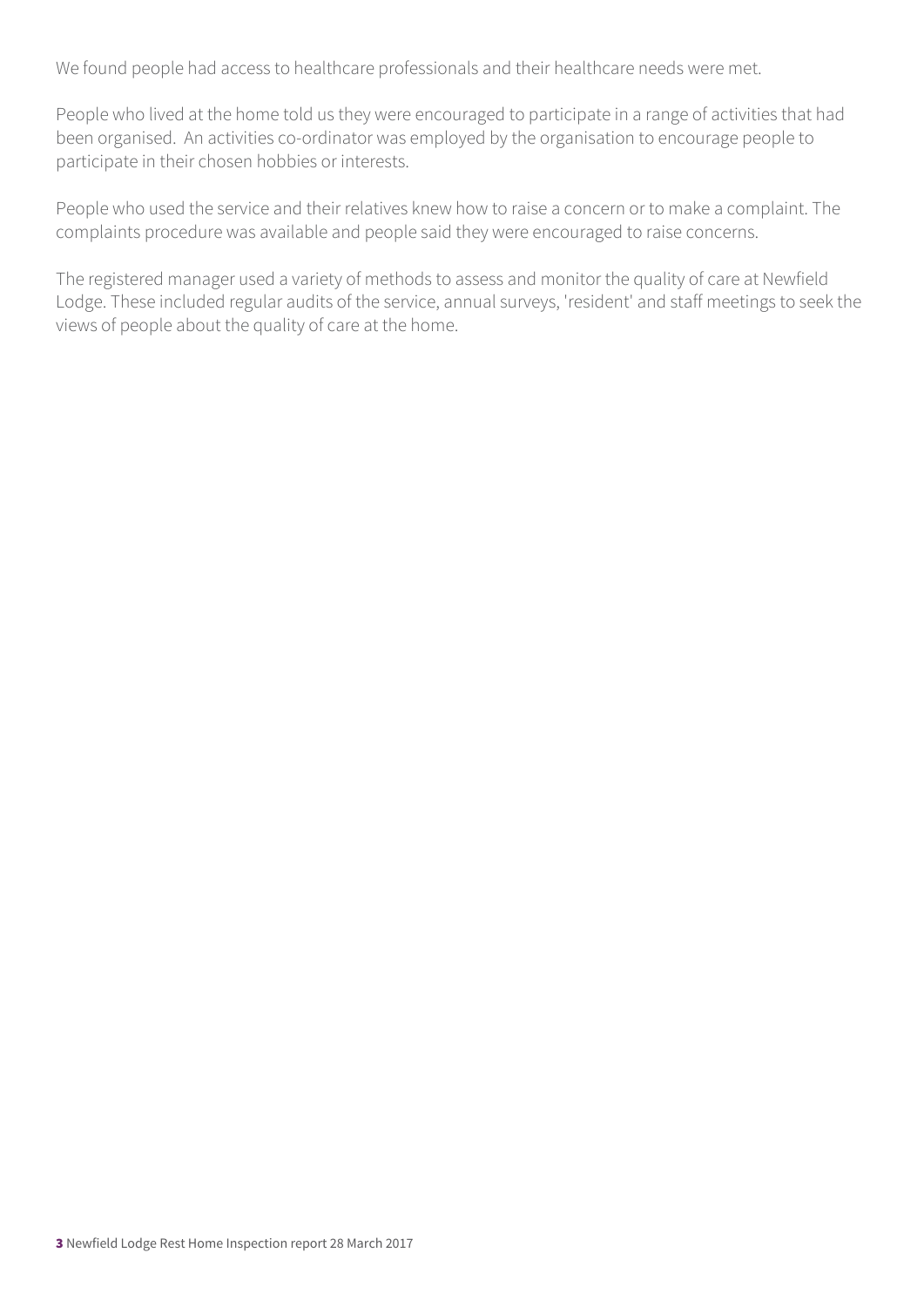We found people had access to healthcare professionals and their healthcare needs were met.

People who lived at the home told us they were encouraged to participate in a range of activities that had been organised. An activities co-ordinator was employed by the organisation to encourage people to participate in their chosen hobbies or interests.

People who used the service and their relatives knew how to raise a concern or to make a complaint. The complaints procedure was available and people said they were encouraged to raise concerns.

The registered manager used a variety of methods to assess and monitor the quality of care at Newfield Lodge. These included regular audits of the service, annual surveys, 'resident' and staff meetings to seek the views of people about the quality of care at the home.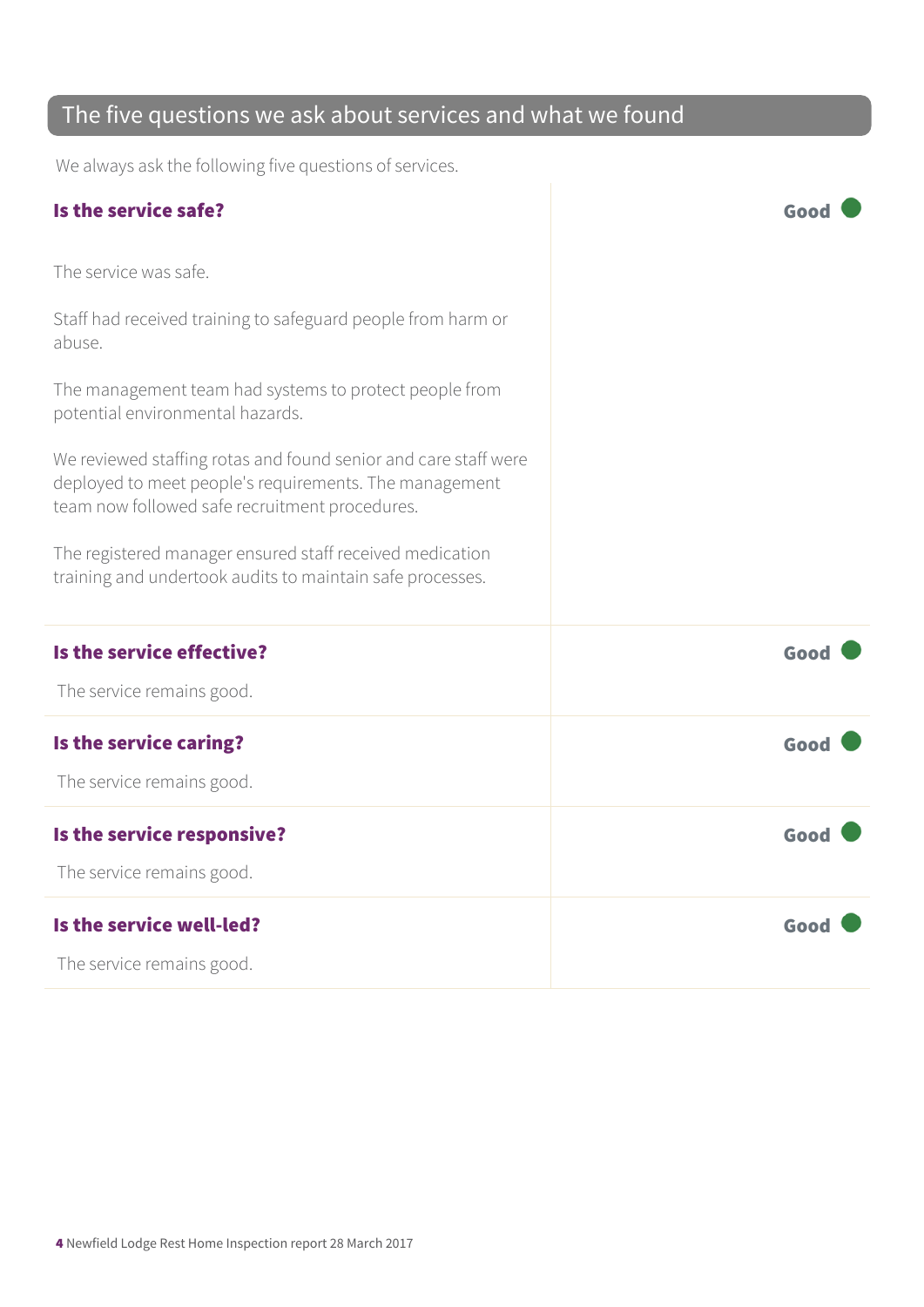#### The five questions we ask about services and what we found

We always ask the following five questions of services.

| Is the service safe?                                                                                                                                                        | Good |
|-----------------------------------------------------------------------------------------------------------------------------------------------------------------------------|------|
| The service was safe.                                                                                                                                                       |      |
| Staff had received training to safeguard people from harm or<br>abuse.                                                                                                      |      |
| The management team had systems to protect people from<br>potential environmental hazards.                                                                                  |      |
| We reviewed staffing rotas and found senior and care staff were<br>deployed to meet people's requirements. The management<br>team now followed safe recruitment procedures. |      |
| The registered manager ensured staff received medication<br>training and undertook audits to maintain safe processes.                                                       |      |
| Is the service effective?                                                                                                                                                   | Good |
| The service remains good.                                                                                                                                                   |      |
| Is the service caring?                                                                                                                                                      | Good |
| The service remains good.                                                                                                                                                   |      |
| Is the service responsive?                                                                                                                                                  | Good |
| The service remains good.                                                                                                                                                   |      |
| Is the service well-led?                                                                                                                                                    | Good |
| The service remains good.                                                                                                                                                   |      |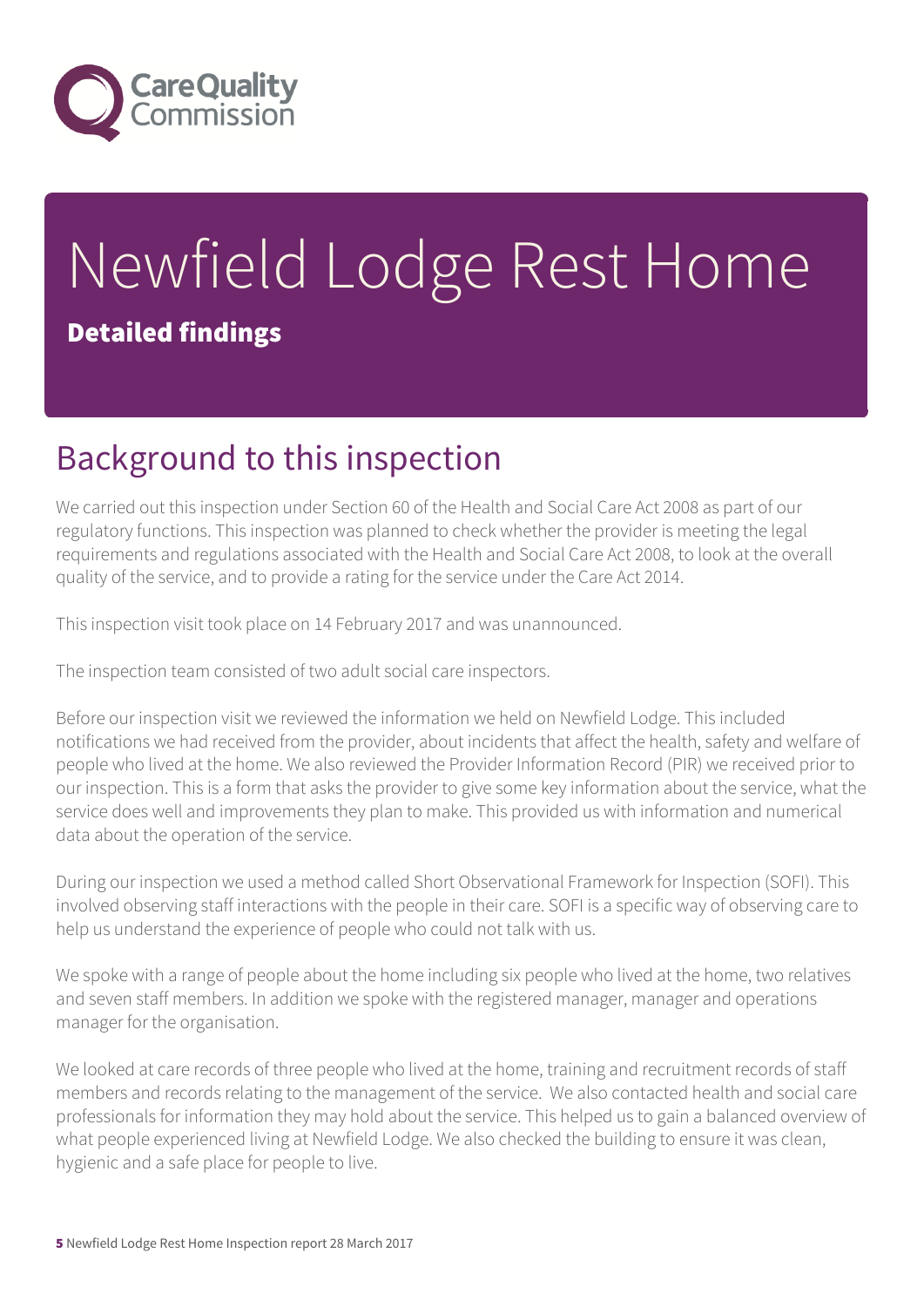

# Newfield Lodge Rest Home Detailed findings

## Background to this inspection

We carried out this inspection under Section 60 of the Health and Social Care Act 2008 as part of our regulatory functions. This inspection was planned to check whether the provider is meeting the legal requirements and regulations associated with the Health and Social Care Act 2008, to look at the overall quality of the service, and to provide a rating for the service under the Care Act 2014.

This inspection visit took place on 14 February 2017 and was unannounced.

The inspection team consisted of two adult social care inspectors.

Before our inspection visit we reviewed the information we held on Newfield Lodge. This included notifications we had received from the provider, about incidents that affect the health, safety and welfare of people who lived at the home. We also reviewed the Provider Information Record (PIR) we received prior to our inspection. This is a form that asks the provider to give some key information about the service, what the service does well and improvements they plan to make. This provided us with information and numerical data about the operation of the service.

During our inspection we used a method called Short Observational Framework for Inspection (SOFI). This involved observing staff interactions with the people in their care. SOFI is a specific way of observing care to help us understand the experience of people who could not talk with us.

We spoke with a range of people about the home including six people who lived at the home, two relatives and seven staff members. In addition we spoke with the registered manager, manager and operations manager for the organisation.

We looked at care records of three people who lived at the home, training and recruitment records of staff members and records relating to the management of the service. We also contacted health and social care professionals for information they may hold about the service. This helped us to gain a balanced overview of what people experienced living at Newfield Lodge. We also checked the building to ensure it was clean, hygienic and a safe place for people to live.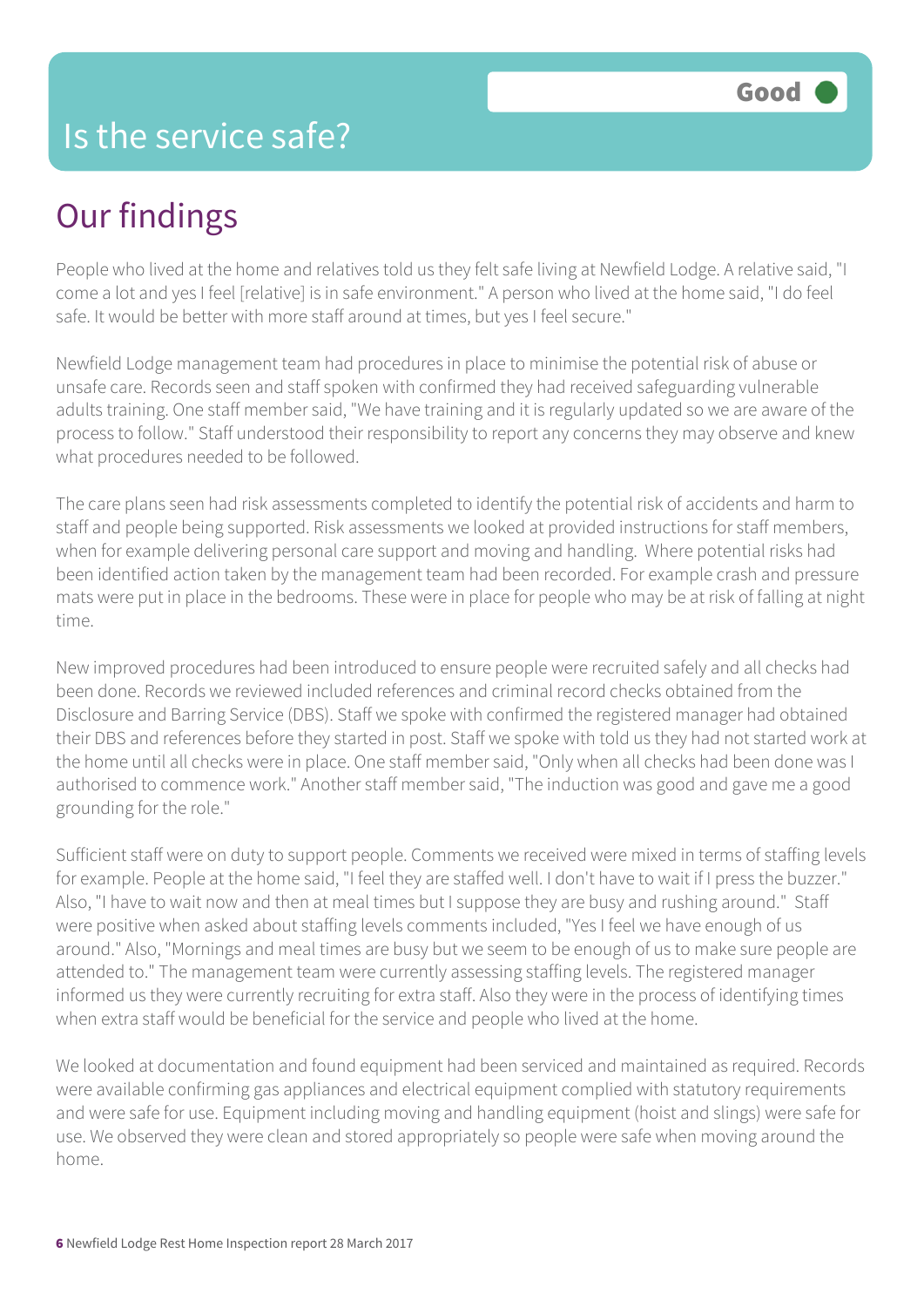## Our findings

People who lived at the home and relatives told us they felt safe living at Newfield Lodge. A relative said, "I come a lot and yes I feel [relative] is in safe environment." A person who lived at the home said, "I do feel safe. It would be better with more staff around at times, but yes I feel secure."

Newfield Lodge management team had procedures in place to minimise the potential risk of abuse or unsafe care. Records seen and staff spoken with confirmed they had received safeguarding vulnerable adults training. One staff member said, "We have training and it is regularly updated so we are aware of the process to follow." Staff understood their responsibility to report any concerns they may observe and knew what procedures needed to be followed.

The care plans seen had risk assessments completed to identify the potential risk of accidents and harm to staff and people being supported. Risk assessments we looked at provided instructions for staff members, when for example delivering personal care support and moving and handling. Where potential risks had been identified action taken by the management team had been recorded. For example crash and pressure mats were put in place in the bedrooms. These were in place for people who may be at risk of falling at night time.

New improved procedures had been introduced to ensure people were recruited safely and all checks had been done. Records we reviewed included references and criminal record checks obtained from the Disclosure and Barring Service (DBS). Staff we spoke with confirmed the registered manager had obtained their DBS and references before they started in post. Staff we spoke with told us they had not started work at the home until all checks were in place. One staff member said, "Only when all checks had been done was I authorised to commence work." Another staff member said, "The induction was good and gave me a good grounding for the role."

Sufficient staff were on duty to support people. Comments we received were mixed in terms of staffing levels for example. People at the home said, "I feel they are staffed well. I don't have to wait if I press the buzzer." Also, "I have to wait now and then at meal times but I suppose they are busy and rushing around." Staff were positive when asked about staffing levels comments included, "Yes I feel we have enough of us around." Also, "Mornings and meal times are busy but we seem to be enough of us to make sure people are attended to." The management team were currently assessing staffing levels. The registered manager informed us they were currently recruiting for extra staff. Also they were in the process of identifying times when extra staff would be beneficial for the service and people who lived at the home.

We looked at documentation and found equipment had been serviced and maintained as required. Records were available confirming gas appliances and electrical equipment complied with statutory requirements and were safe for use. Equipment including moving and handling equipment (hoist and slings) were safe for use. We observed they were clean and stored appropriately so people were safe when moving around the home.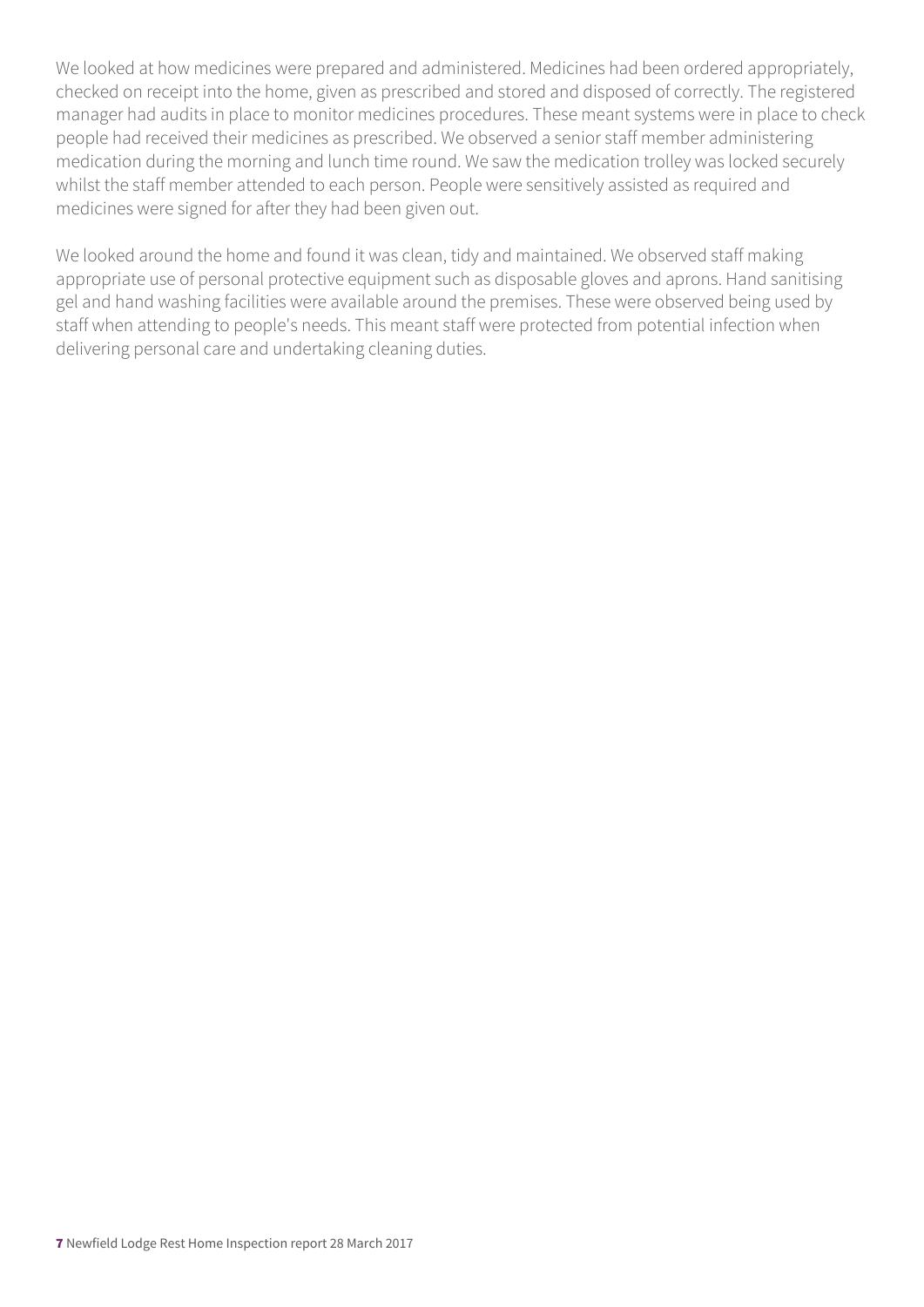We looked at how medicines were prepared and administered. Medicines had been ordered appropriately, checked on receipt into the home, given as prescribed and stored and disposed of correctly. The registered manager had audits in place to monitor medicines procedures. These meant systems were in place to check people had received their medicines as prescribed. We observed a senior staff member administering medication during the morning and lunch time round. We saw the medication trolley was locked securely whilst the staff member attended to each person. People were sensitively assisted as required and medicines were signed for after they had been given out.

We looked around the home and found it was clean, tidy and maintained. We observed staff making appropriate use of personal protective equipment such as disposable gloves and aprons. Hand sanitising gel and hand washing facilities were available around the premises. These were observed being used by staff when attending to people's needs. This meant staff were protected from potential infection when delivering personal care and undertaking cleaning duties.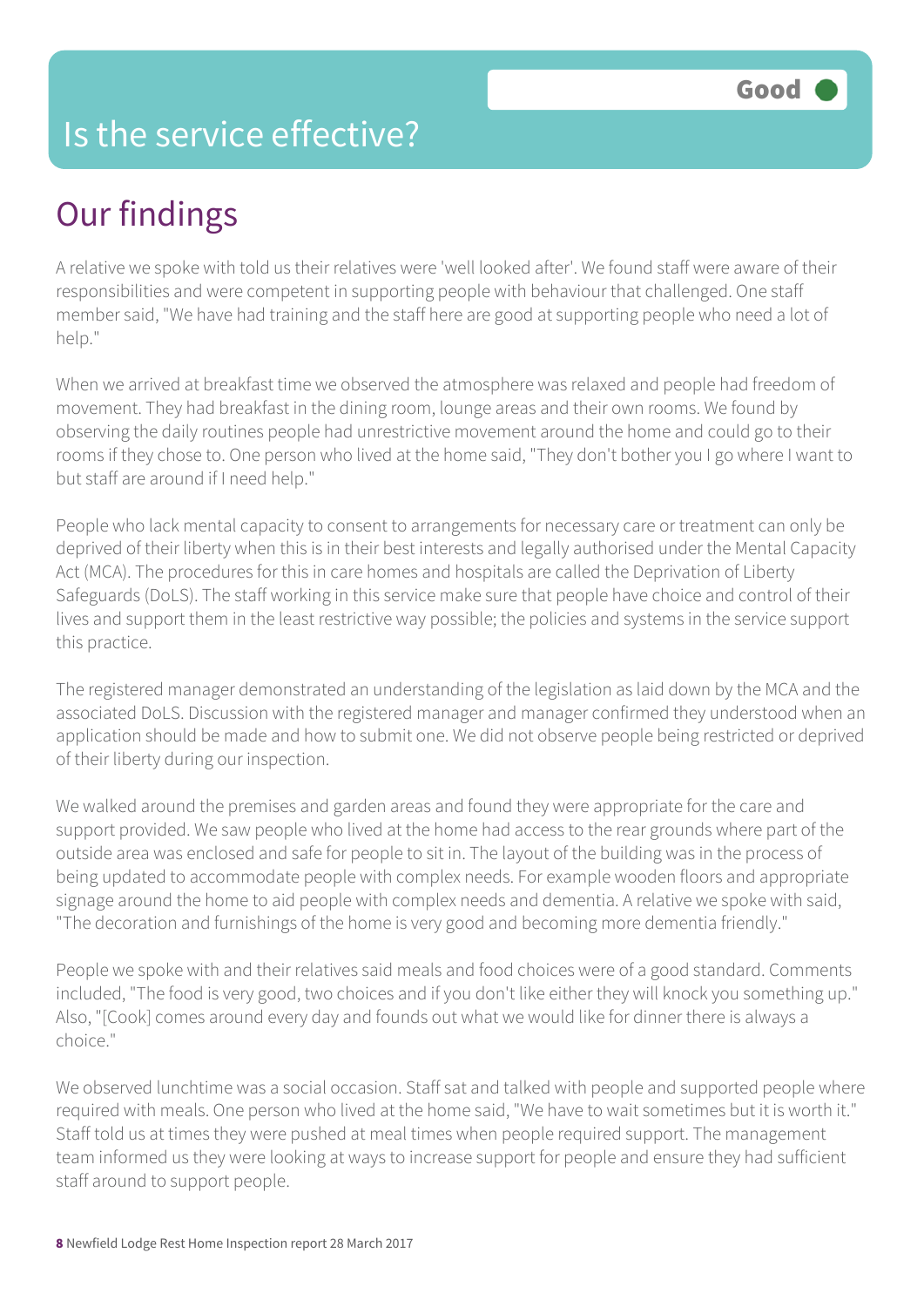#### Is the service effective?

## Our findings

A relative we spoke with told us their relatives were 'well looked after'. We found staff were aware of their responsibilities and were competent in supporting people with behaviour that challenged. One staff member said, "We have had training and the staff here are good at supporting people who need a lot of help."

When we arrived at breakfast time we observed the atmosphere was relaxed and people had freedom of movement. They had breakfast in the dining room, lounge areas and their own rooms. We found by observing the daily routines people had unrestrictive movement around the home and could go to their rooms if they chose to. One person who lived at the home said, "They don't bother you I go where I want to but staff are around if I need help."

People who lack mental capacity to consent to arrangements for necessary care or treatment can only be deprived of their liberty when this is in their best interests and legally authorised under the Mental Capacity Act (MCA). The procedures for this in care homes and hospitals are called the Deprivation of Liberty Safeguards (DoLS). The staff working in this service make sure that people have choice and control of their lives and support them in the least restrictive way possible; the policies and systems in the service support this practice.

The registered manager demonstrated an understanding of the legislation as laid down by the MCA and the associated DoLS. Discussion with the registered manager and manager confirmed they understood when an application should be made and how to submit one. We did not observe people being restricted or deprived of their liberty during our inspection.

We walked around the premises and garden areas and found they were appropriate for the care and support provided. We saw people who lived at the home had access to the rear grounds where part of the outside area was enclosed and safe for people to sit in. The layout of the building was in the process of being updated to accommodate people with complex needs. For example wooden floors and appropriate signage around the home to aid people with complex needs and dementia. A relative we spoke with said, "The decoration and furnishings of the home is very good and becoming more dementia friendly."

People we spoke with and their relatives said meals and food choices were of a good standard. Comments included, "The food is very good, two choices and if you don't like either they will knock you something up." Also, "[Cook] comes around every day and founds out what we would like for dinner there is always a choice."

We observed lunchtime was a social occasion. Staff sat and talked with people and supported people where required with meals. One person who lived at the home said, "We have to wait sometimes but it is worth it." Staff told us at times they were pushed at meal times when people required support. The management team informed us they were looking at ways to increase support for people and ensure they had sufficient staff around to support people.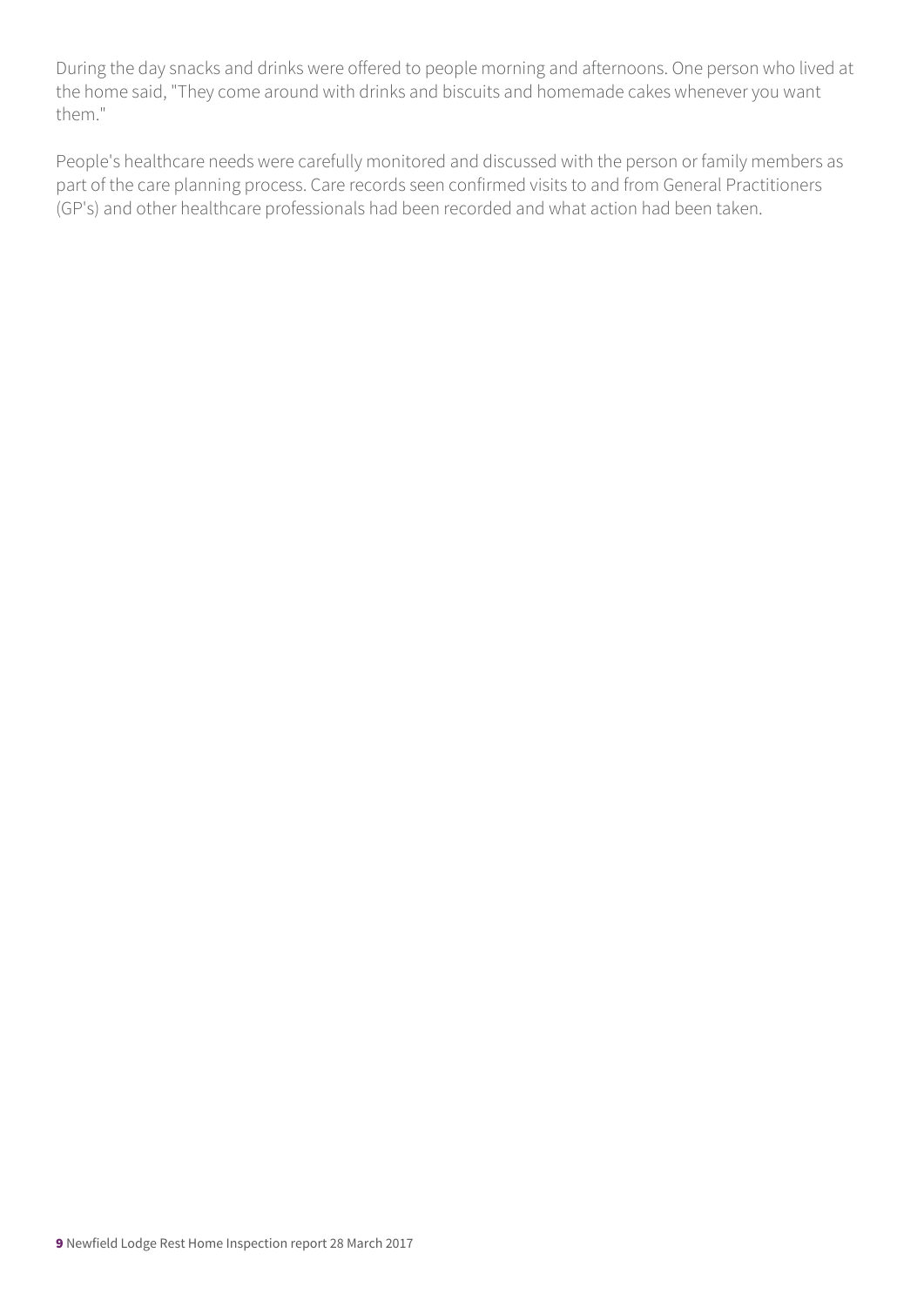During the day snacks and drinks were offered to people morning and afternoons. One person who lived at the home said, "They come around with drinks and biscuits and homemade cakes whenever you want them."

People's healthcare needs were carefully monitored and discussed with the person or family members as part of the care planning process. Care records seen confirmed visits to and from General Practitioners (GP's) and other healthcare professionals had been recorded and what action had been taken.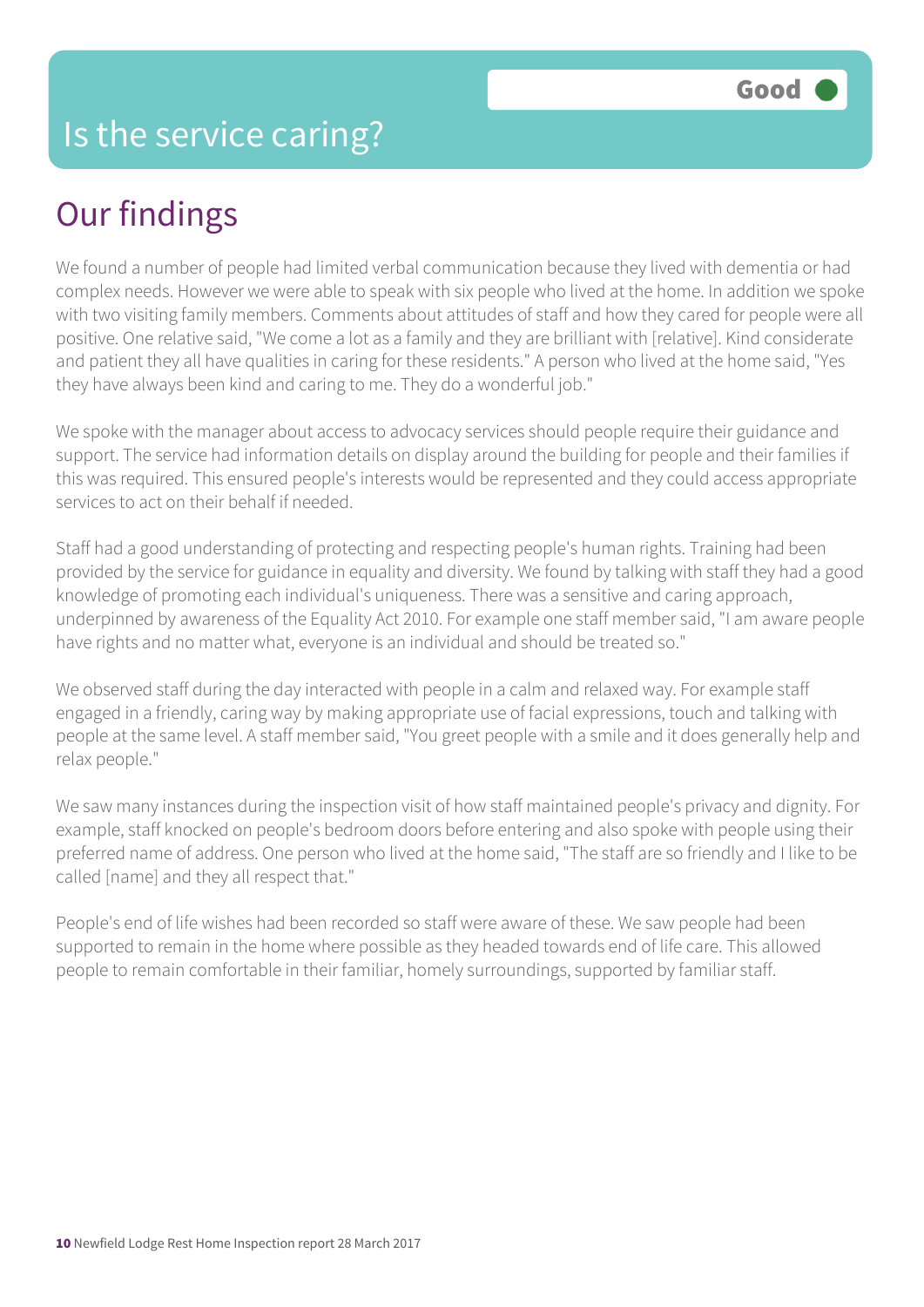## Our findings

We found a number of people had limited verbal communication because they lived with dementia or had complex needs. However we were able to speak with six people who lived at the home. In addition we spoke with two visiting family members. Comments about attitudes of staff and how they cared for people were all positive. One relative said, "We come a lot as a family and they are brilliant with [relative]. Kind considerate and patient they all have qualities in caring for these residents." A person who lived at the home said, "Yes they have always been kind and caring to me. They do a wonderful job."

We spoke with the manager about access to advocacy services should people require their guidance and support. The service had information details on display around the building for people and their families if this was required. This ensured people's interests would be represented and they could access appropriate services to act on their behalf if needed.

Staff had a good understanding of protecting and respecting people's human rights. Training had been provided by the service for guidance in equality and diversity. We found by talking with staff they had a good knowledge of promoting each individual's uniqueness. There was a sensitive and caring approach, underpinned by awareness of the Equality Act 2010. For example one staff member said, "I am aware people have rights and no matter what, everyone is an individual and should be treated so."

We observed staff during the day interacted with people in a calm and relaxed way. For example staff engaged in a friendly, caring way by making appropriate use of facial expressions, touch and talking with people at the same level. A staff member said, "You greet people with a smile and it does generally help and relax people."

We saw many instances during the inspection visit of how staff maintained people's privacy and dignity. For example, staff knocked on people's bedroom doors before entering and also spoke with people using their preferred name of address. One person who lived at the home said, "The staff are so friendly and I like to be called [name] and they all respect that."

People's end of life wishes had been recorded so staff were aware of these. We saw people had been supported to remain in the home where possible as they headed towards end of life care. This allowed people to remain comfortable in their familiar, homely surroundings, supported by familiar staff.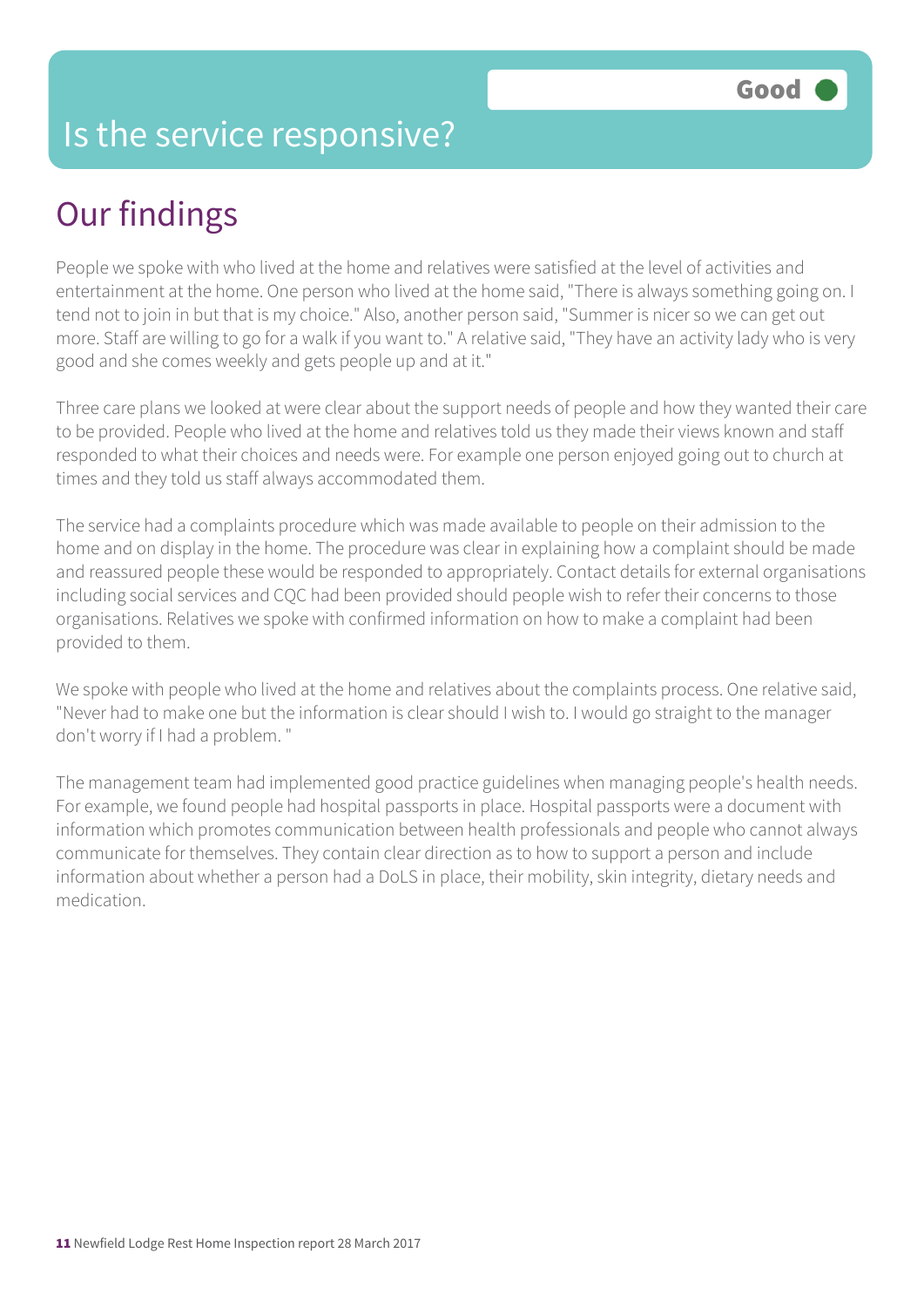#### Is the service responsive?

## Our findings

People we spoke with who lived at the home and relatives were satisfied at the level of activities and entertainment at the home. One person who lived at the home said, "There is always something going on. I tend not to join in but that is my choice." Also, another person said, "Summer is nicer so we can get out more. Staff are willing to go for a walk if you want to." A relative said, "They have an activity lady who is very good and she comes weekly and gets people up and at it."

Three care plans we looked at were clear about the support needs of people and how they wanted their care to be provided. People who lived at the home and relatives told us they made their views known and staff responded to what their choices and needs were. For example one person enjoyed going out to church at times and they told us staff always accommodated them.

The service had a complaints procedure which was made available to people on their admission to the home and on display in the home. The procedure was clear in explaining how a complaint should be made and reassured people these would be responded to appropriately. Contact details for external organisations including social services and CQC had been provided should people wish to refer their concerns to those organisations. Relatives we spoke with confirmed information on how to make a complaint had been provided to them.

We spoke with people who lived at the home and relatives about the complaints process. One relative said, "Never had to make one but the information is clear should I wish to. I would go straight to the manager don't worry if I had a problem. "

The management team had implemented good practice guidelines when managing people's health needs. For example, we found people had hospital passports in place. Hospital passports were a document with information which promotes communication between health professionals and people who cannot always communicate for themselves. They contain clear direction as to how to support a person and include information about whether a person had a DoLS in place, their mobility, skin integrity, dietary needs and medication.